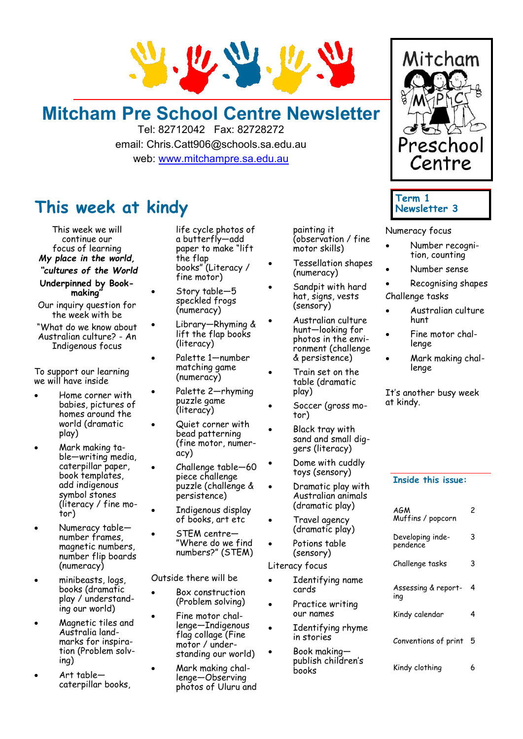

## **Mitcham Pre School Centre Newsletter**

Tel: 82712042 Fax: 82728272 email: Chris.Catt906@schools.sa.edu.au web: [www.mitchampre.sa.edu.au](http://www.mitchampre.sa.edu.au/) 

### **This week at kindy**

This week we will continue our focus of learning *My place in the world,*

*"cultures of the World*

- **Underpinned by Bookmaking"**
- Our inquiry question for the week with be
- "What do we know about Australian culture? - An Indigenous focus

To support our learning we will have inside

- Home corner with babies, pictures of homes around the world (dramatic play)
- Mark making table—writing media, caterpillar paper, book templates, add indigenous symbol stones (literacy / fine motor)
- Numeracy table number frames, magnetic numbers, number flip boards (numeracy)
- minibeasts, logs, books (dramatic play / understanding our world)
- Magnetic tiles and Australia landmarks for inspiration (Problem solving)
- Art table caterpillar books,

life cycle photos of a butterfly—add paper to make "lift the flap books" (Literacy / fine motor)

- Story table-5 speckled frogs (numeracy)
- Library—Rhyming & lift the flap books (literacy)
	- Palette 1—number matching game (numeracy)
- Palette 2—rhyming puzzle game (literacy)
- Quiet corner with bead patterning (fine motor, numeracy)
- Challenge table—60 piece challenge puzzle (challenge & persistence)
- Indigenous display of books, art etc
- STEM centre— "Where do we find numbers?" (STEM)

Outside there will be

- Box construction (Problem solving)
- Fine motor challenge—Indigenous flag collage (Fine motor / understanding our world)
	- Mark making challenge—Observing photos of Uluru and

painting it (observation / fine motor skills)

- Tessellation shapes (numeracy)
- Sandpit with hard hat, signs, vests (sensory)
- Australian culture hunt—looking for photos in the environment (challenge & persistence)
- Train set on the table (dramatic play)
- Soccer (gross motor)
- Black tray with sand and small diggers (literacy)
- Dome with cuddly toys (sensory)
- Dramatic play with Australian animals (dramatic play)
- Travel agency (dramatic play)
- Potions table (sensory)

Literacy focus

- Identifying name cards
- Practice writing our names
- Identifying rhyme in stories
- Book making publish children's books



### **Term 1 Newsletter 3**

Numeracy focus

- Number recognition, counting
- Number sense
- Recognising shapes Challenge tasks
- Australian culture hunt
- Fine motor challenge
- Mark making challenge

It's another busy week at kindy.

#### **Inside this issue:**

| AGM<br>Muffins / popcorn     | 2 |
|------------------------------|---|
| Developing inde-<br>pendence | 3 |
| Challenge tasks              | 3 |
| Assessing & report-<br>ing   | 4 |
| Kindy calendar               | 4 |
| Conventions of print         | 5 |
| Kindy clothing               |   |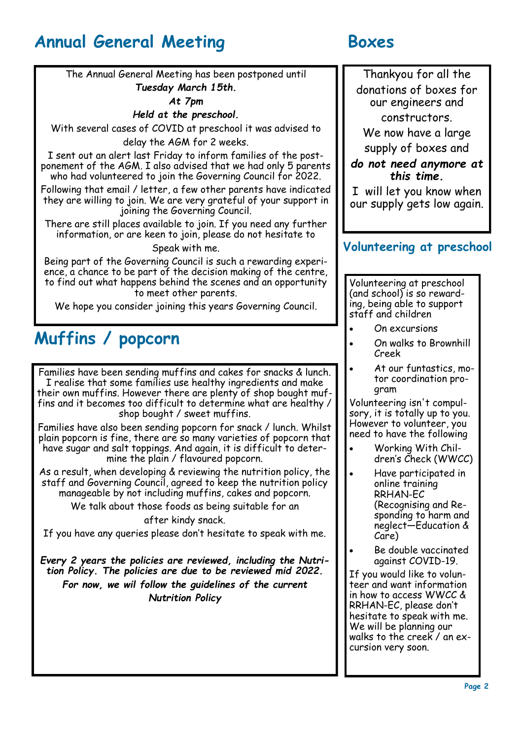### **Annual General Meeting Boxes**

The Annual General Meeting has been postponed until *Tuesday March 15th.*

*At 7pm*

### *Held at the preschool.*

With several cases of COVID at preschool it was advised to delay the AGM for 2 weeks.

I sent out an alert last Friday to inform families of the postponement of the AGM. I also advised that we had only 5 parents who had volunteered to join the Governing Council for 2022.

Following that email / letter, a few other parents have indicated they are willing to join. We are very grateful of your support in joining the Governing Council.

There are still places available to join. If you need any further information, or are keen to join, please do not hesitate to

Speak with me.

Being part of the Governing Council is such a rewarding experience, a chance to be part of the decision making of the centre, to find out what happens behind the scenes and an opportunity to meet other parents.

We hope you consider joining this years Governing Council.

# **Muffins / popcorn**

Families have been sending muffins and cakes for snacks & lunch. I realise that some families use healthy ingredients and make their own muffins. However there are plenty of shop bought muffins and it becomes too difficult to determine what are healthy / shop bought / sweet muffins.

Families have also been sending popcorn for snack / lunch. Whilst plain popcorn is fine, there are so many varieties of popcorn that have sugar and salt toppings. And again, it is difficult to determine the plain / flavoured popcorn.

As a result, when developing & reviewing the nutrition policy, the staff and Governing Council, agreed to keep the nutrition policy manageable by not including muffins, cakes and popcorn.

> We talk about those foods as being suitable for an after kindy snack.

If you have any queries please don't hesitate to speak with me.

*Every 2 years the policies are reviewed, including the Nutrition Policy. The policies are due to be reviewed mid 2022. For now, we wil follow the guidelines of the current Nutrition Policy*

Thankyou for all the donations of boxes for our engineers and constructors.

We now have a large supply of boxes and

*do not need anymore at this time.* 

I will let you know when our supply gets low again.

### **Volunteering at preschool**

Volunteering at preschool (and school) is so rewarding, being able to support staff and children

- On excursions
- On walks to Brownhill Creek
- At our funtastics, motor coordination program

Volunteering isn't compulsory, it is totally up to you. However to volunteer, you need to have the following

- Working With Children's Check (WWCC)
- Have participated in online training RRHAN-EC (Recognising and Responding to harm and neglect—Education & Care)
- Be double vaccinated against COVID-19.

If you would like to volunteer and want information in how to access WWCC & RRHAN-EC, please don't hesitate to speak with me. We will be planning our walks to the creek / an excursion very soon.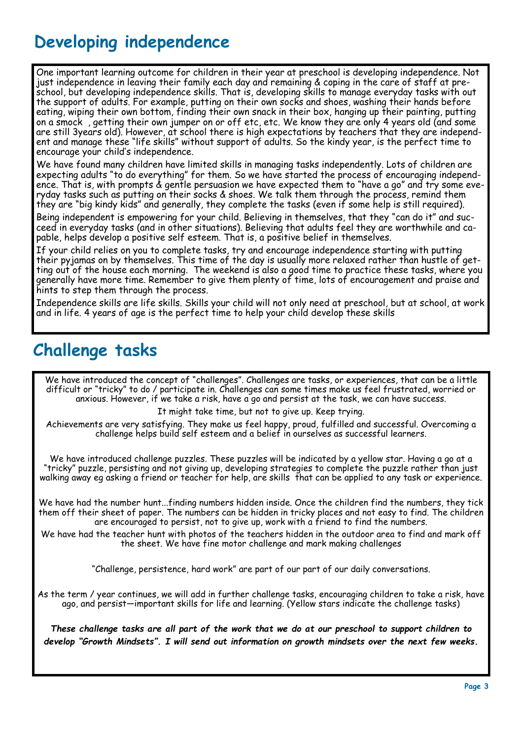### **Developing independence**

One important learning outcome for children in their year at preschool is developing independence. Not just independence in leaving their family each day and remaining & coping in the care of staff at preschool, but developing independence skills. That is, developing skills to manage everyday tasks with out the support of adults. For example, putting on their own socks and shoes, washing their hands before eating, wiping their own bottom, finding their own snack in their box, hanging up their painting, putting on a smock , getting their own jumper on or off etc, etc. We know they are only 4 years old (and some are still 3years old). However, at school there is high expectations by teachers that they are independent and manage these "life skills" without support of adults. So the kindy year, is the perfect time to encourage your child's independence.

We have found many children have limited skills in managing tasks independently. Lots of children are expecting adults "to do everything" for them. So we have started the process of encouraging independence. That is, with prompts & gentle persuasion we have expected them to "have a go" and try some everyday tasks such as putting on their socks & shoes. We talk them through the process, remind them they are "big kindy kids" and generally, they complete the tasks (even if some help is still required).

Being independent is empowering for your child. Believing in themselves, that they "can do it" and succeed in everyday tasks (and in other situations). Believing that adults feel they are worthwhile and capable, helps develop a positive self esteem. That is, a positive belief in themselves.

If your child relies on you to complete tasks, try and encourage independence starting with putting their pyjamas on by themselves. This time of the day is usually more relaxed rather than hustle of getting out of the house each morning. The weekend is also a good time to practice these tasks, where you generally have more time. Remember to give them plenty of time, lots of encouragement and praise and hints to step them through the process.

Independence skills are life skills. Skills your child will not only need at preschool, but at school, at work and in life. 4 years of age is the perfect time to help your child develop these skills

### **Challenge tasks**

We have introduced the concept of "challenges". Challenges are tasks, or experiences, that can be a little difficult or "tricky" to do / participate in. Challenges can some times make us feel frustrated, worried or anxious. However, if we take a risk, have a go and persist at the task, we can have success.

It might take time, but not to give up. Keep trying.

Achievements are very satisfying. They make us feel happy, proud, fulfilled and successful. Overcoming a challenge helps build self esteem and a belief in ourselves as successful learners.

We have introduced challenge puzzles. These puzzles will be indicated by a yellow star. Having a go at a "tricky" puzzle, persisting and not giving up, developing strategies to complete the puzzle rather than just walking away eg asking a friend or teacher for help, are skills that can be applied to any task or experience.

We have had the number hunt...finding numbers hidden inside. Once the children find the numbers, they tick them off their sheet of paper. The numbers can be hidden in tricky places and not easy to find. The children are encouraged to persist, not to give up, work with a friend to find the numbers.

We have had the teacher hunt with photos of the teachers hidden in the outdoor area to find and mark off the sheet. We have fine motor challenge and mark making challenges

"Challenge, persistence, hard work" are part of our part of our daily conversations.

As the term / year continues, we will add in further challenge tasks, encouraging children to take a risk, have ago, and persist—important skills for life and learning. (Yellow stars indicate the challenge tasks)

*These challenge tasks are all part of the work that we do at our preschool to support children to develop "Growth Mindsets". I will send out information on growth mindsets over the next few weeks.*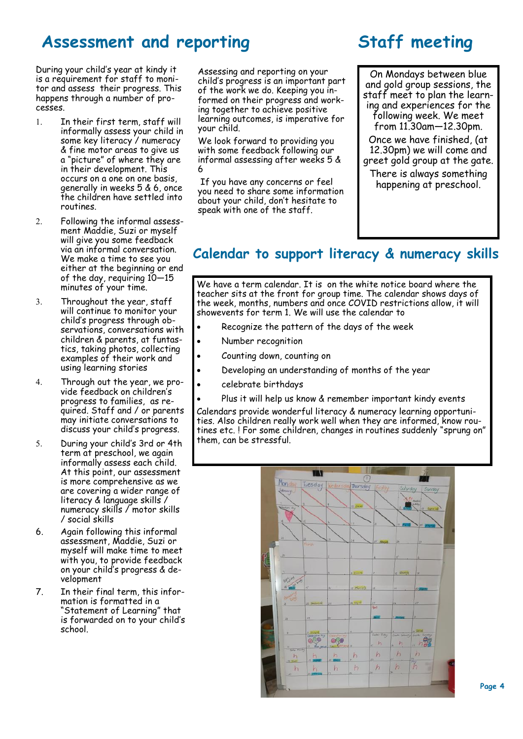### Assessment and reporting **Staff meeting**

During your child's year at kindy it is a requirement for staff to monitor and assess their progress. This happens through a number of processes.

- In their first term, staff will informally assess your child in some key literacy / numeracy & fine motor areas to give us a "picture" of where they are in their development. This occurs on a one on one basis, generally in weeks 5 & 6, once the children have settled into routines.
- Following the informal assessment Maddie, Suzi or myself will give you some feedback via an informal conversation. We make a time to see you either at the beginning or end of the day, requiring 10—15 minutes of your time.
- 3. Throughout the year, staff will continue to monitor your child's progress through observations, conversations with children & parents, at funtastics, taking photos, collecting examples of their work and using learning stories
- Through out the year, we provide feedback on children's progress to families, as required. Staff and / or parents may initiate conversations to discuss your child's progress.
- During your child's 3rd or 4th term at preschool, we again informally assess each child. At this point, our assessment is more comprehensive as we are covering a wider range of literacy & language skills / numeracy skills / motor skills / social skills
- 6. Again following this informal assessment, Maddie, Suzi or myself will make time to meet with you, to provide feedback on your child's progress & development
- 7. In their final term, this information is formatted in a "Statement of Learning" that is forwarded on to your child's school.

Assessing and reporting on your child's progress is an important part of the work we do. Keeping you informed on their progress and working together to achieve positive learning outcomes, is imperative for your child.

We look forward to providing you with some feedback following our informal assessing after weeks 5 & 6

If you have any concerns or feel you need to share some information about your child, don't hesitate to speak with one of the staff.

On Mondays between blue and gold group sessions, the staff meet to plan the learning and experiences for the following week. We meet from 11.30am—12.30pm. Once we have finished, (at 12.30pm) we will come and greet gold group at the gate. There is always something happening at preschool.

### **Calendar to support literacy & numeracy skills**

We have a term calendar. It is on the white notice board where the teacher sits at the front for group time. The calendar shows days of the week, months, numbers and once COVID restrictions allow, it will showevents for term 1. We will use the calendar to

- Recognize the pattern of the days of the week
- Number recognition
- Counting down, counting on
- Developing an understanding of months of the year
- celebrate birthdays
- Plus it will help us know & remember important kindy events

Calendars provide wonderful literacy & numeracy learning opportunities. Also children really work well when they are informed, know routines etc. ! For some children, changes in routines suddenly "sprung on" them, can be stressful.

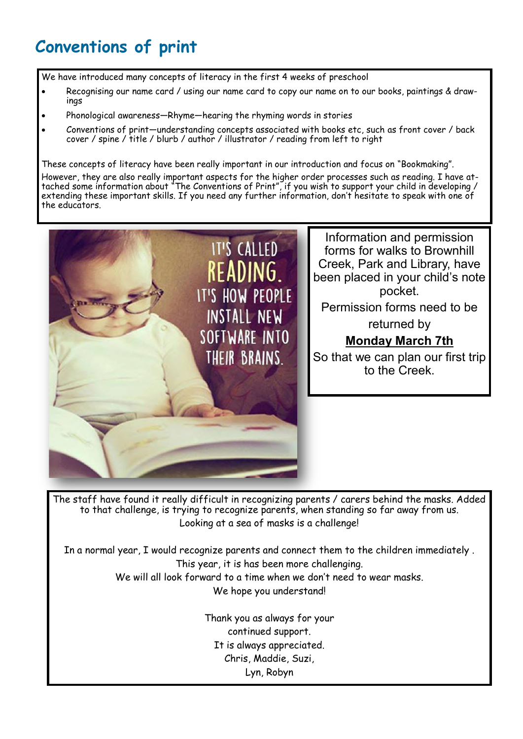# **Conventions of print**

We have introduced many concepts of literacy in the first 4 weeks of preschool

- Recognising our name card / using our name card to copy our name on to our books, paintings & drawings
- Phonological awareness—Rhyme—hearing the rhyming words in stories
- Conventions of print—understanding concepts associated with books etc, such as front cover / back cover / spine / title / blurb / author / illustrator / reading from left to right

These concepts of literacy have been really important in our introduction and focus on "Bookmaking". However, they are also really important aspects for the higher order processes such as reading. I have attached some information about "The Conventions of Print", if you wish to support your child in developing / extending these important skills. If you need any further information, don't hesitate to speak with one of the educators.



The staff have found it really difficult in recognizing parents / carers behind the masks. Added to that challenge, is trying to recognize parents, when standing so far away from us. Looking at a sea of masks is a challenge!

In a normal year, I would recognize parents and connect them to the children immediately . This year, it is has been more challenging. We will all look forward to a time when we don't need to wear masks. We hope you understand!

> Thank you as always for your continued support. It is always appreciated. Chris, Maddie, Suzi, Lyn, Robyn